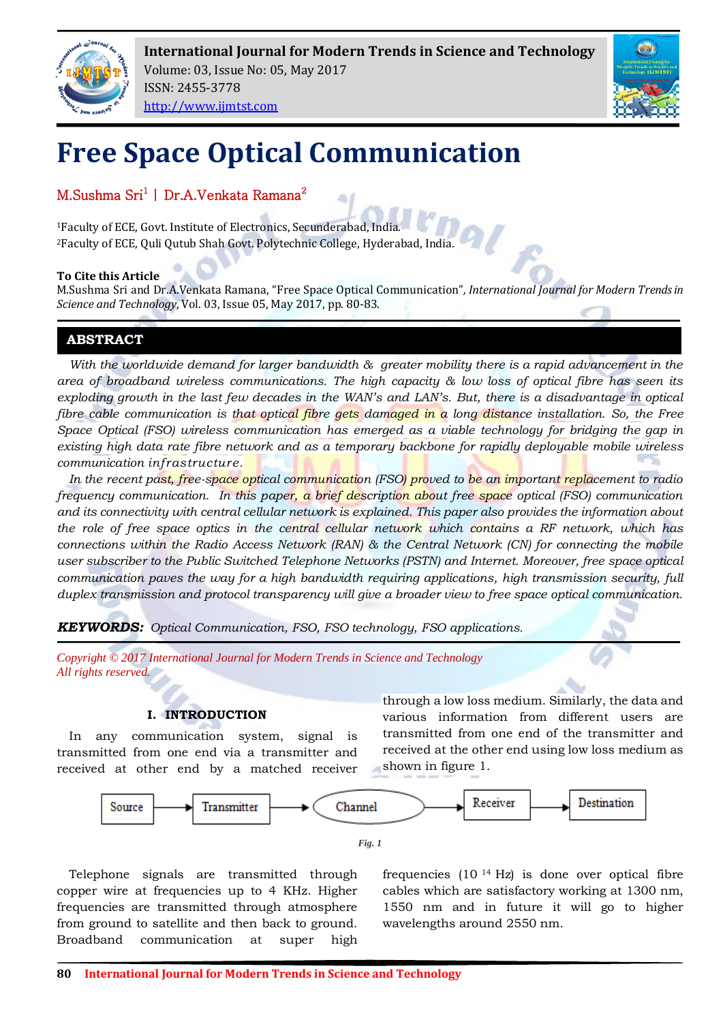

**International Journal for Modern Trends in Science and Technology** Volume: 03, Issue No: 05, May 2017 ISSN: 2455-3778



# **Free Space Optical Communication**

M.Sushma Sri<sup>1</sup> | Dr.A.Venkata Ramana<sup>2</sup>

[http://www.ijmtst.com](http://www.ijmtst.com/)

<sup>1</sup>Faculty of ECE, Govt. Institute of Electronics, Secunderabad, India. <sup>2</sup>Faculty of ECE, Quli Qutub Shah Govt. Polytechnic College, Hyderabad, India.

## **To Cite this Article**

M.Sushma Sri and Dr.A.Venkata Ramana, "Free Space Optical Communication"*, International Journal for Modern Trends in Science and Technology*, Vol. 03, Issue 05, May 2017, pp. 80-83.

# **ABSTRACT**

*With the worldwide demand for larger bandwidth & greater mobility there is a rapid advancement in the area of broadband wireless communications. The high capacity & low loss of optical fibre has seen its exploding growth in the last few decades in the WAN's and LAN's. But, there is a disadvantage in optical fibre cable communication is that optical fibre gets damaged in a long distance installation. So, the Free Space Optical (FSO) wireless communication has emerged as a viable technology for bridging the gap in existing high data rate fibre network and as a temporary backbone for rapidly deployable mobile wireless communication infrastructure.*

*In the recent past, free-space optical communication (FSO) proved to be an important replacement to radio frequency communication. In this paper, a brief description about free space optical (FSO) communication and its connectivity with central cellular network is explained. This paper also provides the information about the role of free space optics in the central cellular network which contains a RF network, which has connections within the Radio Access Network (RAN) & the Central Network (CN) for connecting the mobile user subscriber to the Public Switched Telephone Networks (PSTN) and Internet. Moreover, free space optical communication paves the way for a high bandwidth requiring applications, high transmission security, full duplex transmission and protocol transparency will give a broader view to free space optical communication.*

*KEYWORDS: Optical Communication, FSO, FSO technology, FSO applications.*

*Copyright © 2017 International Journal for Modern Trends in Science and Technology All rights reserved.*

# **I. INTRODUCTION**

In any communication system, signal is transmitted from one end via a transmitter and received at other end by a matched receiver through a low loss medium. Similarly, the data and various information from different users are transmitted from one end of the transmitter and received at the other end using low loss medium as shown in figure 1.



*Fig. 1*

Telephone signals are transmitted through copper wire at frequencies up to 4 KHz. Higher frequencies are transmitted through atmosphere from ground to satellite and then back to ground. Broadband communication at super high

frequencies (10 <sup>14</sup> Hz) is done over optical fibre cables which are satisfactory working at 1300 nm, 1550 nm and in future it will go to higher wavelengths around 2550 nm.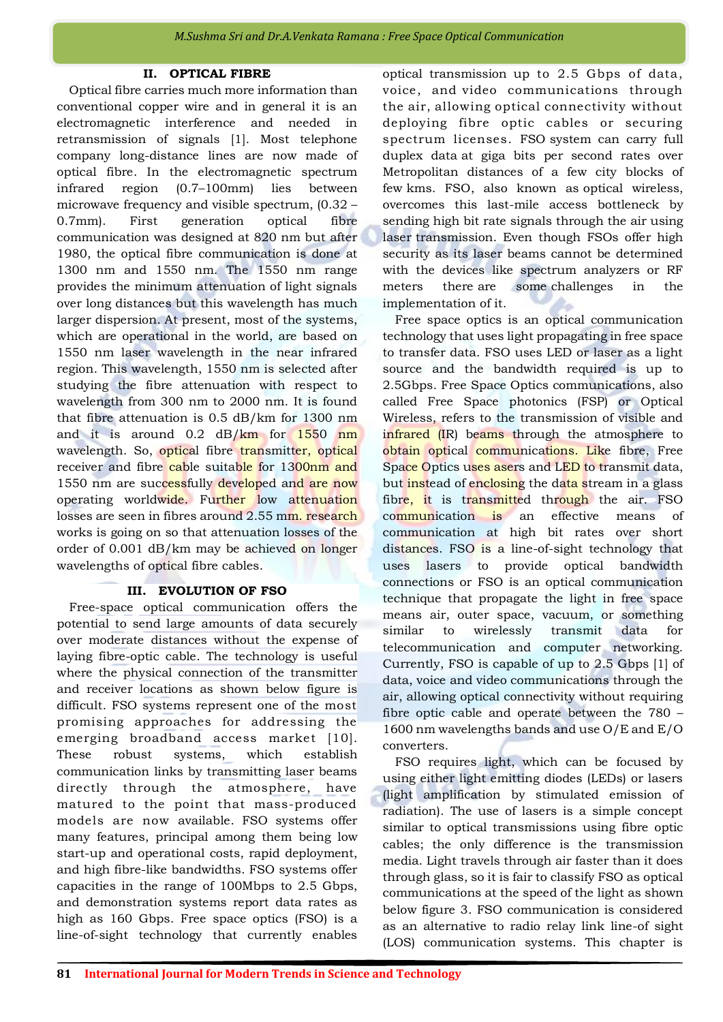## **II. OPTICAL FIBRE**

Optical fibre carries much more information than conventional copper wire and in general it is an electromagnetic interference and needed in retransmission of signals [1]. Most telephone company long-distance lines are now made of optical fibre. In the electromagnetic spectrum infrared region (0.7–100mm) lies between microwave frequency and visible spectrum, (0.32 – 0.7mm). First generation optical fibre communication was designed at 820 nm but after 1980, the optical fibre communication is done at 1300 nm and 1550 nm. The 1550 nm range provides the minimum attenuation of light signals over long distances but this wavelength has much larger dispersion. At present, most of the systems, which are operational in the world, are based on 1550 nm laser wavelength in the near infrared region. This wavelength, 1550 nm is selected after studying the fibre attenuation with respect to wavelength from 300 nm to 2000 nm. It is found that fibre attenuation is 0.5 dB/km for 1300 nm and it is around 0.2 dB/km for 1550 nm wavelength. So, optical fibre transmitter, optical receiver and fibre cable suitable for 1300nm and 1550 nm are successfully developed and are now operating worldwide. Further low attenuation losses are seen in fibres around 2.55 mm. research works is going on so that attenuation losses of the order of 0.001 dB/km may be achieved on longer wavelengths of optical fibre cables.

#### **III. EVOLUTION OF FSO**

Free-space optical communication offers the potential to send large amounts of data securely over moderate distances without the expense of laying fibre-optic cable. The technology is useful where the physical connection of the transmitter and receiver locations as shown below figure is difficult. FSO systems represent one of the most promising approaches for addressing the emerging broadband access market [10]. These robust systems, which establish communication links by transmitting laser beams directly through the atmosphere, have matured to the point that mass-produced models are now available. FSO systems offer many features, principal among them being low start-up and operational costs, rapid deployment, and high fibre-like bandwidths. FSO systems offer capacities in the range of 100Mbps to 2.5 Gbps, and demonstration systems report data rates as high as 160 Gbps. Free space optics (FSO) is a line-of-sight technology that currently enables

optical transmission up to 2.5 Gbps of data, voice, and video communications through the air, allowing optical connectivity without deploying fibre optic cables or securing spectrum licenses. FSO system can carry full duplex data at giga bits per second rates over Metropolitan distances of a few city blocks of few kms. FSO, also known as optical wireless, overcomes this last-mile access bottleneck by sending high bit rate signals through the air using laser transmission. Even though FSOs offer high security as its laser beams cannot be determined with the devices like spectrum analyzers or RF meters there are some challenges in the implementation of it.

Free space optics is an optical communication technology that uses light propagating in free space to transfer data. FSO uses LED or laser as a light source and the bandwidth required is up to 2.5Gbps. Free Space Optics communications, also called Free Space photonics (FSP) or Optical Wireless, refers to the transmission of visible and infrared (IR) beams through the atmosphere to obtain optical communications. Like fibre, Free Space Optics uses asers and LED to transmit data, but instead of enclosing the data stream in a glass fibre, it is transmitted through the air. FSO communication is an effective means of communication at high bit rates over short distances. FSO is a line-of-sight technology that uses lasers to provide optical bandwidth connections or FSO is an optical communication technique that propagate the light in free space means air, outer space, vacuum, or something similar to wirelessly transmit data for telecommunication and computer networking. Currently, FSO is capable of up to 2.5 Gbps [1] of data, voice and video communications through the air, allowing optical connectivity without requiring fibre optic cable and operate between the 780 – 1600 nm wavelengths bands and use O/E and E/O converters.

FSO requires light, which can be focused by using either light emitting diodes (LEDs) or lasers (light amplification by stimulated emission of radiation). The use of lasers is a simple concept similar to optical transmissions using fibre optic cables; the only difference is the transmission media. Light travels through air faster than it does through glass, so it is fair to classify FSO as optical communications at the speed of the light as shown below figure 3. FSO communication is considered as an alternative to radio relay link line-of sight (LOS) communication systems. This chapter is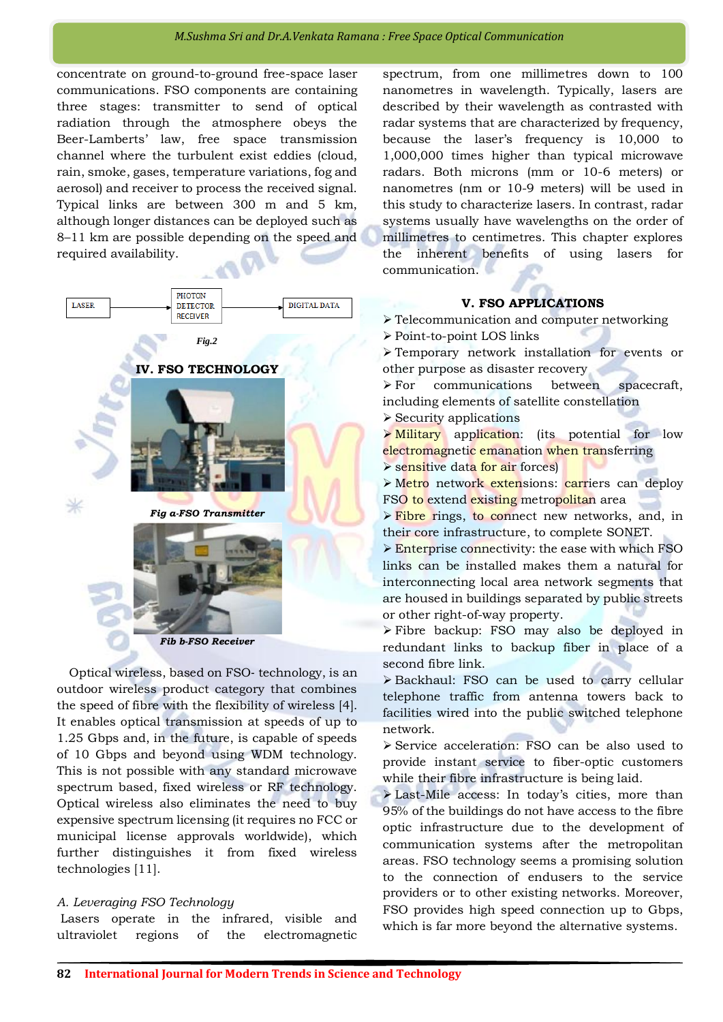concentrate on ground-to-ground free-space laser communications. FSO components are containing three stages: transmitter to send of optical radiation through the atmosphere obeys the Beer-Lamberts' law, free space transmission channel where the turbulent exist eddies (cloud, rain, smoke, gases, temperature variations, fog and aerosol) and receiver to process the received signal. Typical links are between 300 m and 5 km, although longer distances can be deployed such as 8–11 km are possible depending on the speed and required availability.



Optical wireless, based on FSO‐ technology, is an outdoor wireless product category that combines the speed of fibre with the flexibility of wireless [4]. It enables optical transmission at speeds of up to 1.25 Gbps and, in the future, is capable of speeds of 10 Gbps and beyond using WDM technology. This is not possible with any standard microwave spectrum based, fixed wireless or RF technology. Optical wireless also eliminates the need to buy expensive spectrum licensing (it requires no FCC or municipal license approvals worldwide), which further distinguishes it from fixed wireless technologies [11].

#### *A. Leveraging FSO Technology*

Lasers operate in the infrared, visible and ultraviolet regions of the electromagnetic

spectrum, from one millimetres down to 100 nanometres in wavelength. Typically, lasers are described by their wavelength as contrasted with radar systems that are characterized by frequency, because the laser's frequency is 10,000 to 1,000,000 times higher than typical microwave radars. Both microns (mm or 10-6 meters) or nanometres (nm or 10-9 meters) will be used in this study to characterize lasers. In contrast, radar systems usually have wavelengths on the order of millimetres to centimetres. This chapter explores the inherent benefits of using lasers for communication.

#### **V. FSO APPLICATIONS**

Telecommunication and computer networking

Point-to-point LOS links

 Temporary network installation for events or other purpose as disaster recovery

 For communications between spacecraft, including elements of satellite constellation

 $\triangleright$  Security applications

**Military** application: (its potential for low electromagnetic emanation when transferring

Sensitive data for air forces

> Metro network extensions: carriers can deploy FSO to extend existing metropolitan area

**Fibre rings, to connect new networks, and, in** their core infrastructure, to complete SONET.

**Enterprise connectivity: the ease with which FSO** links can be installed makes them a natural for interconnecting local area network segments that are housed in buildings separated by public streets or other right-of-way property.

 Fibre backup: FSO may also be deployed in redundant links to backup fiber in place of a second fibre link.

 Backhaul: FSO can be used to carry cellular telephone traffic from antenna towers back to facilities wired into the public switched telephone network.

 Service acceleration: FSO can be also used to provide instant service to fiber-optic customers while their fibre infrastructure is being laid.

 Last-Mile access: In today's cities, more than 95% of the buildings do not have access to the fibre optic infrastructure due to the development of communication systems after the metropolitan areas. FSO technology seems a promising solution to the connection of endusers to the service providers or to other existing networks. Moreover, FSO provides high speed connection up to Gbps, which is far more beyond the alternative systems.